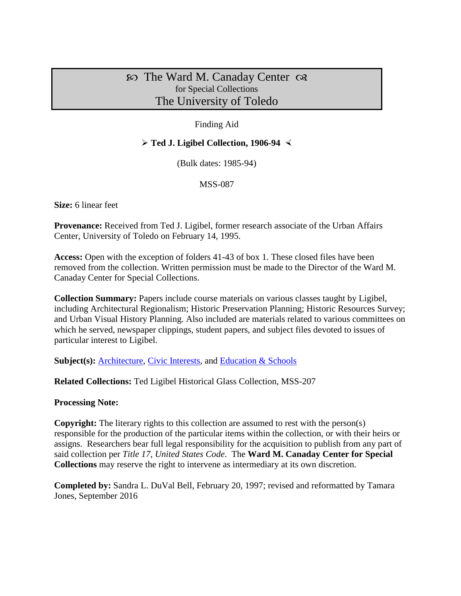# $\infty$  The Ward M. Canaday Center  $\infty$ for Special Collections The University of Toledo

## Finding Aid

### **Ted J. Ligibel Collection, 1906-94**

(Bulk dates: 1985-94)

#### MSS-087

**Size:** 6 linear feet

**Provenance:** Received from Ted J. Ligibel, former research associate of the Urban Affairs Center, University of Toledo on February 14, 1995.

**Access:** Open with the exception of folders 41-43 of box 1. These closed files have been removed from the collection. Written permission must be made to the Director of the Ward M. Canaday Center for Special Collections.

**Collection Summary:** Papers include course materials on various classes taught by Ligibel, including Architectural Regionalism; Historic Preservation Planning; Historic Resources Survey; and Urban Visual History Planning. Also included are materials related to various committees on which he served, newspaper clippings, student papers, and subject files devoted to issues of particular interest to Ligibel.

**Subject(s): [Architecture,](http://www.utoledo.edu/library/canaday/guidepages/arch.html) [Civic Interests,](http://www.utoledo.edu/library/canaday/guidepages/civic.html) and [Education & Schools](http://www.utoledo.edu/library/canaday/guidepages/education.html)** 

**Related Collections:** Ted Ligibel Historical Glass Collection, MSS-207

#### **Processing Note:**

**Copyright:** The literary rights to this collection are assumed to rest with the person(s) responsible for the production of the particular items within the collection, or with their heirs or assigns. Researchers bear full legal responsibility for the acquisition to publish from any part of said collection per *Title 17, United States Code*. The **Ward M. Canaday Center for Special Collections** may reserve the right to intervene as intermediary at its own discretion.

**Completed by:** Sandra L. DuVal Bell, February 20, 1997; revised and reformatted by Tamara Jones, September 2016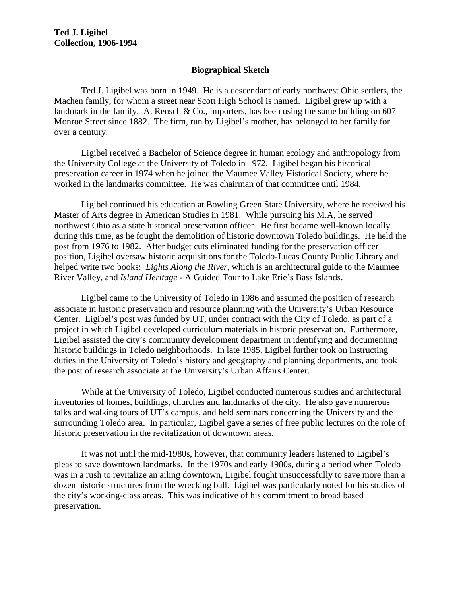### **Biographical Sketch**

Ted J. Ligibel was born in 1949. He is a descendant of early northwest Ohio settlers, the Machen family, for whom a street near Scott High School is named. Ligibel grew up with a landmark in the family. A. Rensch  $& Co.,$  importers, has been using the same building on 607 Monroe Street since 1882. The firm, run by Ligibel's mother, has belonged to her family for over a century.

Ligibel received a Bachelor of Science degree in human ecology and anthropology from the University College at the University of Toledo in 1972. Ligibel began his historical preservation career in 1974 when he joined the Maumee Valley Historical Society, where he worked in the landmarks committee. He was chairman of that committee until 1984.

Ligibel continued his education at Bowling Green State University, where he received his Master of Arts degree in American Studies in 1981. While pursuing his M.A, he served northwest Ohio as a state historical preservation officer. He first became well-known locally during this time, as he fought the demolition of historic downtown Toledo buildings. He held the post from 1976 to 1982. After budget cuts eliminated funding for the preservation officer position, Ligibel oversaw historic acquisitions for the Toledo-Lucas County Public Library and helped write two books: *Lights Along the River*, which is an architectural guide to the Maumee River Valley, and *Island Heritage* - A Guided Tour to Lake Erie's Bass Islands.

Ligibel came to the University of Toledo in 1986 and assumed the position of research associate in historic preservation and resource planning with the University's Urban Resource Center. Ligibel's post was funded by UT, under contract with the City of Toledo, as part of a project in which Ligibel developed curriculum materials in historic preservation. Furthermore, Ligibel assisted the city's community development department in identifying and documenting historic buildings in Toledo neighborhoods. In late 1985, Ligibel further took on instructing duties in the University of Toledo's history and geography and planning departments, and took the post of research associate at the University's Urban Affairs Center.

While at the University of Toledo, Ligibel conducted numerous studies and architectural inventories of homes, buildings, churches and landmarks of the city. He also gave numerous talks and walking tours of UT's campus, and held seminars concerning the University and the surrounding Toledo area. In particular, Ligibel gave a series of free public lectures on the role of historic preservation in the revitalization of downtown areas.

It was not until the mid-1980s, however, that community leaders listened to Ligibel's pleas to save downtown landmarks. In the 1970s and early 1980s, during a period when Toledo was in a rush to revitalize an ailing downtown, Ligibel fought unsuccessfully to save more than a dozen historic structures from the wrecking ball. Ligibel was particularly noted for his studies of the city's working-class areas. This was indicative of his commitment to broad based preservation.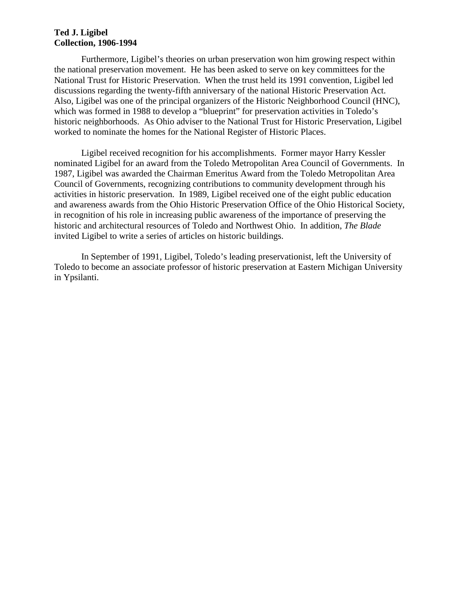Furthermore, Ligibel's theories on urban preservation won him growing respect within the national preservation movement. He has been asked to serve on key committees for the National Trust for Historic Preservation. When the trust held its 1991 convention, Ligibel led discussions regarding the twenty-fifth anniversary of the national Historic Preservation Act. Also, Ligibel was one of the principal organizers of the Historic Neighborhood Council (HNC), which was formed in 1988 to develop a "blueprint" for preservation activities in Toledo's historic neighborhoods. As Ohio adviser to the National Trust for Historic Preservation, Ligibel worked to nominate the homes for the National Register of Historic Places.

Ligibel received recognition for his accomplishments. Former mayor Harry Kessler nominated Ligibel for an award from the Toledo Metropolitan Area Council of Governments. In 1987, Ligibel was awarded the Chairman Emeritus Award from the Toledo Metropolitan Area Council of Governments, recognizing contributions to community development through his activities in historic preservation. In 1989, Ligibel received one of the eight public education and awareness awards from the Ohio Historic Preservation Office of the Ohio Historical Society, in recognition of his role in increasing public awareness of the importance of preserving the historic and architectural resources of Toledo and Northwest Ohio. In addition, *The Blade* invited Ligibel to write a series of articles on historic buildings.

In September of 1991, Ligibel, Toledo's leading preservationist, left the University of Toledo to become an associate professor of historic preservation at Eastern Michigan University in Ypsilanti.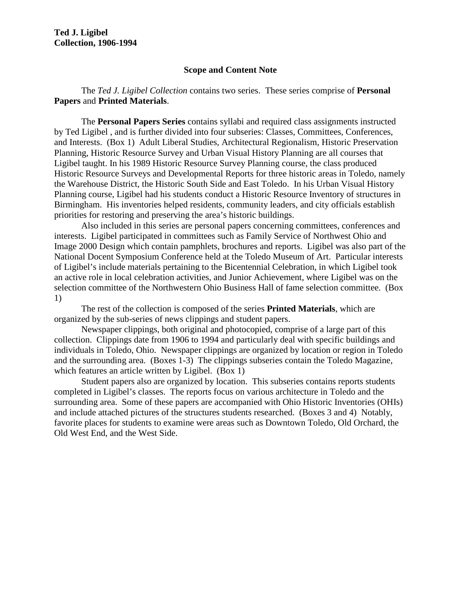#### **Scope and Content Note**

The *Ted J. Ligibel Collection* contains two series. These series comprise of **Personal Papers** and **Printed Materials**.

The **Personal Papers Series** contains syllabi and required class assignments instructed by Ted Ligibel , and is further divided into four subseries: Classes, Committees, Conferences, and Interests. (Box 1) Adult Liberal Studies, Architectural Regionalism, Historic Preservation Planning, Historic Resource Survey and Urban Visual History Planning are all courses that Ligibel taught. In his 1989 Historic Resource Survey Planning course, the class produced Historic Resource Surveys and Developmental Reports for three historic areas in Toledo, namely the Warehouse District, the Historic South Side and East Toledo. In his Urban Visual History Planning course, Ligibel had his students conduct a Historic Resource Inventory of structures in Birmingham. His inventories helped residents, community leaders, and city officials establish priorities for restoring and preserving the area's historic buildings.

Also included in this series are personal papers concerning committees, conferences and interests. Ligibel participated in committees such as Family Service of Northwest Ohio and Image 2000 Design which contain pamphlets, brochures and reports. Ligibel was also part of the National Docent Symposium Conference held at the Toledo Museum of Art. Particular interests of Ligibel's include materials pertaining to the Bicentennial Celebration, in which Ligibel took an active role in local celebration activities, and Junior Achievement, where Ligibel was on the selection committee of the Northwestern Ohio Business Hall of fame selection committee. (Box 1)

The rest of the collection is composed of the series **Printed Materials**, which are organized by the sub-series of news clippings and student papers.

Newspaper clippings, both original and photocopied, comprise of a large part of this collection. Clippings date from 1906 to 1994 and particularly deal with specific buildings and individuals in Toledo, Ohio. Newspaper clippings are organized by location or region in Toledo and the surrounding area. (Boxes 1-3) The clippings subseries contain the Toledo Magazine, which features an article written by Ligibel. (Box 1)

Student papers also are organized by location. This subseries contains reports students completed in Ligibel's classes. The reports focus on various architecture in Toledo and the surrounding area. Some of these papers are accompanied with Ohio Historic Inventories (OHIs) and include attached pictures of the structures students researched. (Boxes 3 and 4) Notably, favorite places for students to examine were areas such as Downtown Toledo, Old Orchard, the Old West End, and the West Side.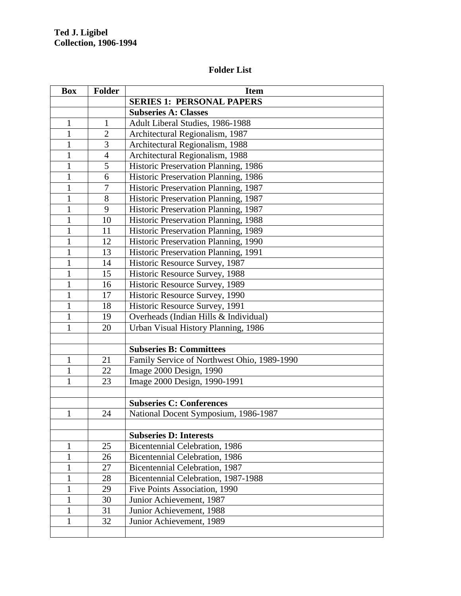## **Folder List**

| <b>Box</b>   | <b>Folder</b>  | <b>Item</b>                                 |
|--------------|----------------|---------------------------------------------|
|              |                | <b>SERIES 1: PERSONAL PAPERS</b>            |
|              |                | <b>Subseries A: Classes</b>                 |
| $\mathbf{1}$ | $\mathbf{1}$   | Adult Liberal Studies, 1986-1988            |
| $\mathbf{1}$ | $\overline{2}$ | Architectural Regionalism, 1987             |
| $\mathbf{1}$ | 3              | Architectural Regionalism, 1988             |
| $\mathbf{1}$ | $\overline{4}$ | Architectural Regionalism, 1988             |
| $\mathbf{1}$ | $\mathfrak s$  | Historic Preservation Planning, 1986        |
| $\mathbf{1}$ | 6              | Historic Preservation Planning, 1986        |
| $\mathbf{1}$ | $\overline{7}$ | Historic Preservation Planning, 1987        |
| $\mathbf{1}$ | 8              | Historic Preservation Planning, 1987        |
| $\mathbf{1}$ | 9              | Historic Preservation Planning, 1987        |
| $\mathbf{1}$ | 10             | Historic Preservation Planning, 1988        |
| $\mathbf{1}$ | 11             | Historic Preservation Planning, 1989        |
| 1            | 12             | Historic Preservation Planning, 1990        |
| 1            | 13             | Historic Preservation Planning, 1991        |
| 1            | 14             | Historic Resource Survey, 1987              |
| $\mathbf{1}$ | 15             | Historic Resource Survey, 1988              |
| 1            | 16             | Historic Resource Survey, 1989              |
| $\mathbf{1}$ | 17             | Historic Resource Survey, 1990              |
| $\mathbf{1}$ | 18             | Historic Resource Survey, 1991              |
| $\mathbf{1}$ | 19             | Overheads (Indian Hills & Individual)       |
| $\mathbf{1}$ | 20             | Urban Visual History Planning, 1986         |
|              |                |                                             |
|              |                | <b>Subseries B: Committees</b>              |
| $\mathbf{1}$ | 21             | Family Service of Northwest Ohio, 1989-1990 |
| $\mathbf{1}$ | 22             | Image 2000 Design, 1990                     |
| 1            | 23             | Image 2000 Design, 1990-1991                |
|              |                |                                             |
|              |                | <b>Subseries C: Conferences</b>             |
| $\mathbf{1}$ | 24             | National Docent Symposium, 1986-1987        |
|              |                |                                             |
|              |                | <b>Subseries D: Interests</b>               |
| 1            | 25             | Bicentennial Celebration, 1986              |
| 1            | 26             | <b>Bicentennial Celebration</b> , 1986      |
| 1            | 27             | Bicentennial Celebration, 1987              |
| 1            | 28             | Bicentennial Celebration, 1987-1988         |
| 1            | 29             | Five Points Association, 1990               |
| 1            | 30             | Junior Achievement, 1987                    |
| 1            | 31             | Junior Achievement, 1988                    |
| 1            | 32             | Junior Achievement, 1989                    |
|              |                |                                             |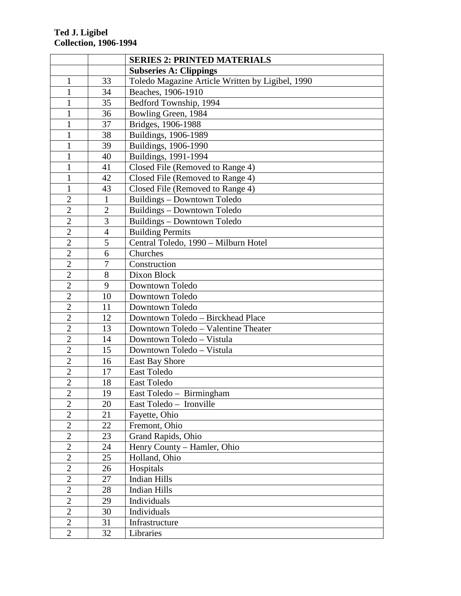|                |                | <b>SERIES 2: PRINTED MATERIALS</b>               |
|----------------|----------------|--------------------------------------------------|
|                |                | <b>Subseries A: Clippings</b>                    |
| $\mathbf{1}$   | 33             | Toledo Magazine Article Written by Ligibel, 1990 |
| $\mathbf{1}$   | 34             | Beaches, 1906-1910                               |
| $\mathbf{1}$   | 35             | Bedford Township, 1994                           |
| $\mathbf{1}$   | 36             | Bowling Green, 1984                              |
| $\mathbf{1}$   | 37             | Bridges, 1906-1988                               |
| $\mathbf{1}$   | 38             | Buildings, 1906-1989                             |
| $\mathbf{1}$   | 39             | Buildings, 1906-1990                             |
| $\mathbf{1}$   | 40             | Buildings, 1991-1994                             |
| $\mathbf{1}$   | 41             | Closed File (Removed to Range 4)                 |
| 1              | 42             | Closed File (Removed to Range 4)                 |
| $\mathbf{1}$   | 43             | Closed File (Removed to Range 4)                 |
| $\overline{2}$ | $\mathbf{1}$   | Buildings - Downtown Toledo                      |
| $\overline{2}$ | $\overline{2}$ | Buildings - Downtown Toledo                      |
| $\overline{2}$ | 3              | Buildings - Downtown Toledo                      |
| $\overline{2}$ | $\overline{4}$ | <b>Building Permits</b>                          |
| $\overline{2}$ | 5              | Central Toledo, 1990 - Milburn Hotel             |
| $\overline{2}$ | 6              | Churches                                         |
| $\overline{2}$ | $\overline{7}$ | Construction                                     |
| $\overline{2}$ | 8              | Dixon Block                                      |
| $\overline{2}$ | 9              | Downtown Toledo                                  |
| $\overline{2}$ | 10             | Downtown Toledo                                  |
| $\overline{2}$ | 11             | Downtown Toledo                                  |
| $\overline{2}$ | 12             | Downtown Toledo - Birckhead Place                |
| $\overline{2}$ | 13             | Downtown Toledo - Valentine Theater              |
| $\overline{2}$ | 14             | Downtown Toledo - Vistula                        |
| $\overline{2}$ | 15             | Downtown Toledo - Vistula                        |
| $\overline{2}$ | 16             | <b>East Bay Shore</b>                            |
| $\overline{2}$ | 17             | <b>East Toledo</b>                               |
| $\overline{2}$ | 18             | East Toledo                                      |
| $\overline{c}$ | 19             | East Toledo - Birmingham                         |
| $\overline{2}$ | 20             | East Toledo - Ironville                          |
| $\overline{2}$ | 21             | Fayette, Ohio                                    |
| $\overline{2}$ | 22             | Fremont, Ohio                                    |
| $\overline{2}$ | 23             | Grand Rapids, Ohio                               |
| $\overline{2}$ | 24             | Henry County – Hamler, Ohio                      |
| $\overline{2}$ | 25             | Holland, Ohio                                    |
| $\overline{2}$ | 26             | Hospitals                                        |
| $\overline{2}$ | 27             | <b>Indian Hills</b>                              |
| $\overline{2}$ | 28             | <b>Indian Hills</b>                              |
| $\overline{2}$ | 29             | Individuals                                      |
| $\overline{2}$ | 30             | Individuals                                      |
| $\overline{2}$ | 31             | Infrastructure                                   |
| $\overline{2}$ | 32             | Libraries                                        |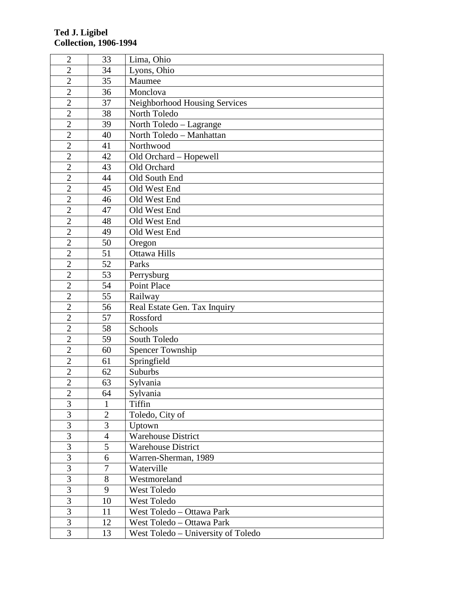| $\overline{2}$ | 33             | Lima, Ohio                         |
|----------------|----------------|------------------------------------|
| $\overline{2}$ | 34             | Lyons, Ohio                        |
| $\overline{2}$ | 35             | Maumee                             |
| $\overline{2}$ | 36             | Monclova                           |
| $\overline{2}$ | 37             | Neighborhood Housing Services      |
| $\overline{2}$ | 38             | North Toledo                       |
| $\overline{2}$ | 39             | North Toledo - Lagrange            |
| $\overline{2}$ | 40             | North Toledo - Manhattan           |
| $\overline{2}$ | 41             | Northwood                          |
| $\overline{2}$ | 42             | Old Orchard - Hopewell             |
| $\overline{c}$ | 43             | Old Orchard                        |
| $\mathfrak{2}$ | 44             | Old South End                      |
| $\overline{2}$ | 45             | Old West End                       |
| $\overline{c}$ | 46             | Old West End                       |
| $\overline{2}$ | 47             | Old West End                       |
| $\overline{2}$ | 48             | Old West End                       |
| $\overline{2}$ | 49             | Old West End                       |
| $\overline{2}$ | 50             | Oregon                             |
| $\overline{2}$ | 51             | <b>Ottawa Hills</b>                |
| $\overline{2}$ | 52             | Parks                              |
| $\overline{2}$ | 53             | Perrysburg                         |
| $\overline{2}$ | 54             | <b>Point Place</b>                 |
| $\overline{2}$ | 55             | Railway                            |
| $\overline{c}$ | 56             | Real Estate Gen. Tax Inquiry       |
| $\overline{2}$ | 57             | Rossford                           |
| $\overline{2}$ | 58             | Schools                            |
| $\overline{2}$ | 59             | South Toledo                       |
| $\overline{2}$ | 60             | <b>Spencer Township</b>            |
| $\overline{2}$ | 61             | Springfield                        |
| $\overline{2}$ | 62             | Suburbs                            |
| $\overline{2}$ | 63             | Sylvania                           |
| $\overline{2}$ | 64             | Sylvania                           |
| $\overline{3}$ | 1              | Tiffin                             |
| $\overline{3}$ | $\overline{2}$ | Toledo, City of                    |
| $\overline{3}$ | 3              | Uptown                             |
| $\overline{3}$ | $\overline{4}$ | <b>Warehouse District</b>          |
| $\overline{3}$ | 5              | <b>Warehouse District</b>          |
| $\overline{3}$ | 6              | Warren-Sherman, 1989               |
| $\overline{3}$ | 7              | Waterville                         |
| 3              | 8              | Westmoreland                       |
| $\overline{3}$ | 9              | West Toledo                        |
| 3              | 10             | West Toledo                        |
| $\overline{3}$ | 11             | West Toledo - Ottawa Park          |
| 3              | 12             | West Toledo - Ottawa Park          |
| 3              | 13             | West Toledo - University of Toledo |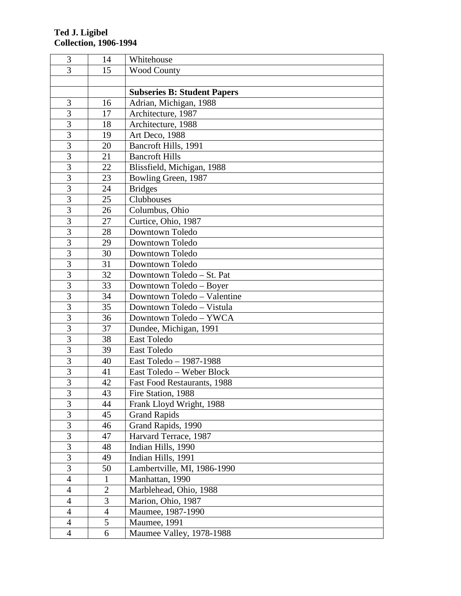| 3                       | 14             | Whitehouse                         |
|-------------------------|----------------|------------------------------------|
| $\overline{3}$          | 15             | <b>Wood County</b>                 |
|                         |                |                                    |
|                         |                | <b>Subseries B: Student Papers</b> |
| 3                       | 16             | Adrian, Michigan, 1988             |
| $\overline{3}$          | 17             | Architecture, 1987                 |
| $\overline{3}$          | 18             | Architecture, 1988                 |
| $\overline{3}$          | 19             | Art Deco, 1988                     |
| $\overline{3}$          | 20             | Bancroft Hills, 1991               |
| $\overline{3}$          | 21             | <b>Bancroft Hills</b>              |
| 3                       | 22             | Blissfield, Michigan, 1988         |
| $\overline{3}$          | 23             | Bowling Green, 1987                |
| $\overline{3}$          | 24             | <b>Bridges</b>                     |
| $\overline{3}$          | 25             | Clubhouses                         |
| 3                       | 26             | Columbus, Ohio                     |
| 3                       | 27             | Curtice, Ohio, 1987                |
| $\overline{3}$          | 28             | Downtown Toledo                    |
| $\overline{3}$          | 29             | Downtown Toledo                    |
| $\overline{3}$          | 30             | Downtown Toledo                    |
| $\overline{3}$          | 31             | Downtown Toledo                    |
| $\overline{3}$          | 32             | Downtown Toledo - St. Pat          |
| $\overline{3}$          | 33             | Downtown Toledo – Boyer            |
| $\overline{3}$          | 34             | Downtown Toledo - Valentine        |
| 3                       | 35             | Downtown Toledo - Vistula          |
| $\overline{3}$          | 36             | Downtown Toledo - YWCA             |
| $\overline{3}$          | 37             | Dundee, Michigan, 1991             |
| $\overline{3}$          | 38             | East Toledo                        |
| 3                       | 39             | East Toledo                        |
| 3                       | 40             | East Toledo - 1987-1988            |
| $\overline{3}$          | 41             | East Toledo - Weber Block          |
| $\overline{3}$          | 42             | Fast Food Restaurants, 1988        |
| $\overline{\mathbf{3}}$ | 43             | Fire Station, 1988                 |
| $\overline{3}$          | 44             | Frank Lloyd Wright, 1988           |
| $\overline{3}$          | 45             | <b>Grand Rapids</b>                |
| $\overline{3}$          | 46             | Grand Rapids, 1990                 |
| $\overline{3}$          | 47             | Harvard Terrace, 1987              |
| $\overline{3}$          | 48             | Indian Hills, 1990                 |
| $\overline{3}$          | 49             | Indian Hills, 1991                 |
| 3                       | 50             | Lambertville, MI, 1986-1990        |
| $\overline{4}$          | 1              | Manhattan, 1990                    |
| 4                       | $\overline{2}$ | Marblehead, Ohio, 1988             |
| 4                       | 3              | Marion, Ohio, 1987                 |
| 4                       | $\overline{4}$ | Maumee, 1987-1990                  |
| $\overline{4}$          | 5              | Maumee, 1991                       |
| $\overline{4}$          | 6              | Maumee Valley, 1978-1988           |